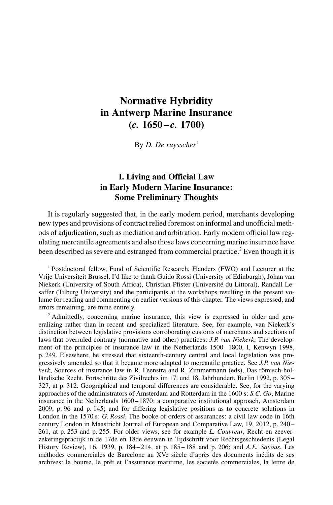# Normative Hybridity in Antwerp Marine Insurance  $(c. 1650 - c. 1700)$

By D. De ruysscher $1$ 

# I. Living and Official Law in Early Modern Marine Insurance: Some Preliminary Thoughts

It is regularly suggested that, in the early modern period, merchants developing new types and provisions of contract relied foremost on informal and unofficial methods of adjudication, such as mediation and arbitration. Early modern official law regulating mercantile agreements and also those laws concerning marine insurance have been described as severe and estranged from commercial practice.<sup>2</sup> Even though it is

<sup>1</sup> Postdoctoral fellow, Fund of Scientific Research, Flanders (FWO) and Lecturer at the Vrije Universiteit Brussel. I'd like to thank Guido Rossi (University of Edinburgh), Johan van Niekerk (University of South Africa), Christian Pfister (Université du Littoral), Randall Lesaffer (Tilburg University) and the participants at the workshops resulting in the present volume for reading and commenting on earlier versions of this chapter. The views expressed, and errors remaining, are mine entirely.

 $2$  Admittedly, concerning marine insurance, this view is expressed in older and generalizing rather than in recent and specialized literature. See, for example, van Niekerk's distinction between legislative provisions corroborating customs of merchants and sections of laws that overruled contrary (normative and other) practices: *J.P. van Niekerk*. The development of the principles of insurance law in the Netherlands 1500–1800, I, Kenwyn 1998, p. 249. Elsewhere, he stressed that sixteenth-century central and local legislation was progressively amended so that it became more adapted to mercantile practice. See J.P. van Niekerk, Sources of insurance law in R. Feenstra and R. Zimmermann (eds), Das römisch-holländische Recht. Fortschritte des Zivilrechts im 17. und 18. Jahrhundert, Berlin 1992, p. 305 – 327, at p. 312. Geographical and temporal differences are considerable. See, for the varying approaches of the administrators of Amsterdam and Rotterdam in the 1600 s: S.C. Go, Marine insurance in the Netherlands 1600-1870: a comparative institutional approach, Amsterdam 2009, p. 96 and p. 145; and for differing legislative positions as to concrete solutions in London in the 1570 s: G. Rossi. The booke of orders of assurances: a civil law code in 16th century London in Maastricht Journal of European and Comparative Law, 19, 2012, p. 240 – 261, at p. 253 and p. 255. For older views, see for example L. Couvreur, Recht en zeeverzekeringspractijk in de 17de en 18de eeuwen in Tijdschrift voor Rechtsgeschiedenis (Legal History Review), 16, 1939, p. 184 – 214, at p. 185 – 188 and p. 206; and A.E. Sayous, Les méthodes commerciales de Barcelone au XVe siècle d'après des documents inédits de ses archives: la bourse, le prêt et l'assurance maritime, les societés commerciales, la lettre de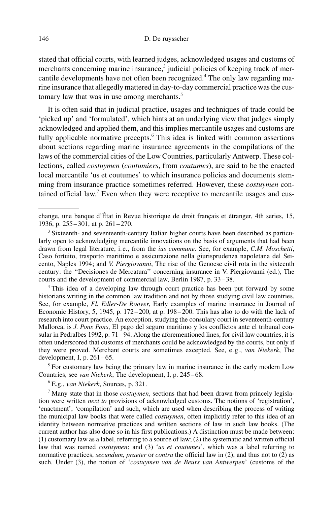stated that official courts, with learned judges, acknowledged usages and customs of merchants concerning marine insurance, $3$  judicial policies of keeping track of mercantile developments have not often been recognized.<sup>4</sup> The only law regarding marine insurance that allegedly mattered in day-to-day commercial practice was the customary law that was in use among merchants.<sup>5</sup>

It is often said that in judicial practice, usages and techniques of trade could be 'picked up' and 'formulated', which hints at an underlying view that judges simply acknowledged and applied them, and this implies mercantile usages and customs are fully applicable normative precepts.<sup>6</sup> This idea is linked with common assertions about sections regarding marine insurance agreements in the compilations of the laws of the commercial cities of the Low Countries, particularly Antwerp. These collections, called costuymen (coutumiers, from coutumes), are said to be the enacted local mercantile 'us et coutumes' to which insurance policies and documents stemming from insurance practice sometimes referred. However, these costuymen contained official law.<sup>7</sup> Even when they were receptive to mercantile usages and cus-

<sup>4</sup> This idea of a developing law through court practice has been put forward by some historians writing in the common law tradition and not by those studying civil law countries. See, for example, Fl. Edler-De Roover, Early examples of marine insurance in Journal of Economic History, 5, 1945, p. 172 – 200, at p. 198 – 200. This has also to do with the lack of research into court practice. An exception, studying the consulary court in seventeenth-century Mallorca, is J. Pons Pons, El pago del seguro maritimo y los conflictos ante el tribunal consular in Pedralbes 1992, p.  $71 - 94$ . Along the aforementioned lines, for civil law countries, it is often underscored that customs of merchants could be acknowledged by the courts, but only if they were proved. Merchant courts are sometimes excepted. See, e.g., van Niekerk, The development, I, p.  $261 - 65$ .

 $<sup>5</sup>$  For customary law being the primary law in marine insurance in the early modern Low</sup> Countries, see van Niekerk, The development, I, p. 245 – 68.

<sup>6</sup> E.g., van Niekerk, Sources, p. 321.

<sup>7</sup> Many state that in those *costuymen*, sections that had been drawn from princely legislation were written next to provisions of acknowledged customs. The notions of 'registration', 'enactment', 'compilation' and such, which are used when describing the process of writing the municipal law books that were called *costuymen*, often implicitly refer to this idea of an identity between normative practices and written sections of law in such law books. (The current author has also done so in his first publications.) A distinction must be made between: (1) customary law as a label, referring to a source of law; (2) the systematic and written official law that was named costuymen; and (3) 'us et coutumes', which was a label referring to normative practices, secundum, praeter or contra the official law in (2), and thus not to (2) as such. Under (3), the notion of 'costuymen van de Beurs van Antwerpen' (customs of the

change, une banque d'État in Revue historique de droit français et étranger, 4th series, 15, 1936, p. 255 – 301, at p. 261 – 270.

<sup>3</sup> Sixteenth- and seventeenth-century Italian higher courts have been described as particularly open to acknowledging mercantile innovations on the basis of arguments that had been drawn from legal literature, i.e., from the *ius commune*. See, for example, C.M. Moschetti, Caso fortuito, trasporto marittimo e assicurazione nella giurisprudenza napoletana del Seicento, Naples 1994; and V. Piergiovanni, The rise of the Genoese civil rota in the sixteenth century: the ''Decisiones de Mercatura'' concerning insurance in V. Piergiovanni (ed.), The courts and the development of commercial law, Berlin 1987, p. 33 – 38.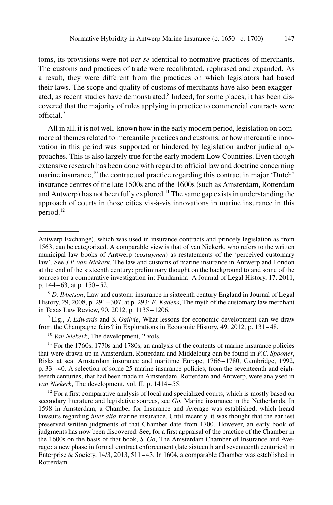toms, its provisions were not per se identical to normative practices of merchants. The customs and practices of trade were recalibrated, rephrased and expanded. As a result, they were different from the practices on which legislators had based their laws. The scope and quality of customs of merchants have also been exaggerated, as recent studies have demonstrated.<sup>8</sup> Indeed, for some places, it has been discovered that the majority of rules applying in practice to commercial contracts were official.<sup>9</sup>

All in all, it is not well-known how in the early modern period, legislation on commercial themes related to mercantile practices and customs, or how mercantile innovation in this period was supported or hindered by legislation and/or judicial approaches. This is also largely true for the early modern Low Countries. Even though extensive research has been done with regard to official law and doctrine concerning marine insurance,<sup>10</sup> the contractual practice regarding this contract in major 'Dutch' insurance centres of the late 1500s and of the 1600s (such as Amsterdam, Rotterdam and Antwerp) has not been fully explored.11 The same gap exists in understanding the approach of courts in those cities vis-à-vis innovations in marine insurance in this period.<sup>12</sup>

 $9$  E.g., J. Edwards and S. Ogilvie, What lessons for economic development can we draw from the Champagne fairs? in Explorations in Economic History, 49, 2012, p. 131 – 48.

<sup>10</sup> Van Niekerk, The development, 2 vols.

 $11$  For the 1760s, 1770s and 1780s, an analysis of the contents of marine insurance policies that were drawn up in Amsterdam, Rotterdam and Middelburg can be found in  $F.C.$  Spooner, Risks at sea. Amsterdam insurance and maritime Europe, 1766 – 1780, Cambridge, 1992, p. 33–-40. A selection of some 25 marine insurance policies, from the seventeenth and eighteenth centuries, that had been made in Amsterdam, Rotterdam and Antwerp, were analysed in van Niekerk, The development, vol. II, p. 1414-55.

 $12$  For a first comparative analysis of local and specialized courts, which is mostly based on secondary literature and legislative sources, see Go, Marine insurance in the Netherlands. In 1598 in Amsterdam, a Chamber for Insurance and Average was established, which heard lawsuits regarding *inter alia* marine insurance. Until recently, it was thought that the earliest preserved written judgments of that Chamber date from 1700. However, an early book of judgments has now been discovered. See, for a first appraisal of the practice of the Chamber in the 1600s on the basis of that book, S. Go, The Amsterdam Chamber of Insurance and Average: a new phase in formal contract enforcement (late sixteenth and seventeenth centuries) in Enterprise & Society, 14/3, 2013, 511 – 43. In 1604, a comparable Chamber was established in Rotterdam.

Antwerp Exchange), which was used in insurance contracts and princely legislation as from 1563, can be categorized. A comparable view is that of van Niekerk, who refers to the written municipal law books of Antwerp (*costuymen*) as restatements of the 'perceived customary law'. See J.P. van Niekerk, The law and customs of marine insurance in Antwerp and London at the end of the sixteenth century: preliminary thought on the background to and some of the sources for a comparative investigation in: Fundamina: A Journal of Legal History, 17, 2011, p. 144 – 63, at p. 150 – 52.

 $8$  D. Ibbetson, Law and custom: insurance in sixteenth century England in Journal of Legal History, 29, 2008, p. 291 – 307, at p. 293; E. Kadens, The myth of the customary law merchant in Texas Law Review, 90, 2012, p. 1135 – 1206.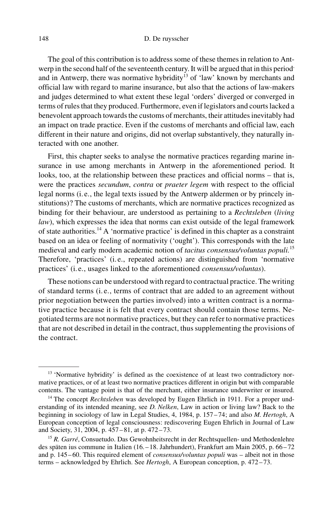The goal of this contribution is to address some of these themes in relation to Antwerp in the second half of the seventeenth century. It will be argued that in this period<sup>,</sup> and in Antwerp, there was normative hybridity<sup>13</sup> of 'law' known by merchants and official law with regard to marine insurance, but also that the actions of law-makers and judges determined to what extent these legal 'orders' diverged or converged in terms of rules that they produced. Furthermore, even if legislators and courts lacked a benevolent approach towards the customs of merchants, their attitudes inevitably had an impact on trade practice. Even if the customs of merchants and official law, each different in their nature and origins, did not overlap substantively, they naturally interacted with one another.

First, this chapter seeks to analyse the normative practices regarding marine insurance in use among merchants in Antwerp in the aforementioned period. It looks, too, at the relationship between these practices and official norms – that is, were the practices secundum, contra or praeter legem with respect to the official legal norms (i. e., the legal texts issued by the Antwerp aldermen or by princely institutions)? The customs of merchants, which are normative practices recognized as binding for their behaviour, are understood as pertaining to a Rechtsleben (living law), which expresses the idea that norms can exist outside of the legal framework of state authorities.<sup>14</sup> A 'normative practice' is defined in this chapter as a constraint based on an idea or feeling of normativity ('ought'). This corresponds with the late medieval and early modern academic notion of *tacitus consensus/voluntas populi.*<sup>15</sup> Therefore, 'practices' (i. e., repeated actions) are distinguished from 'normative practices' (i. e., usages linked to the aforementioned consensus/voluntas).

These notions can be understood with regard to contractual practice. The writing of standard terms (i. e., terms of contract that are added to an agreement without prior negotiation between the parties involved) into a written contract is a normative practice because it is felt that every contract should contain those terms. Negotiated terms are not normative practices, but they can refer to normative practices that are not described in detail in the contract, thus supplementing the provisions of the contract.

<sup>&</sup>lt;sup>13</sup> 'Normative hybridity' is defined as the coexistence of at least two contradictory normative practices, or of at least two normative practices different in origin but with comparable contents. The vantage point is that of the merchant, either insurance underwriter or insured.

<sup>&</sup>lt;sup>14</sup> The concept *Rechtsleben* was developed by Eugen Ehrlich in 1911. For a proper understanding of its intended meaning, see D. Nelken, Law in action or living law? Back to the beginning in sociology of law in Legal Studies, 4, 1984, p. 157-74; and also M. Hertogh, A European conception of legal consciousness: rediscovering Eugen Ehrlich in Journal of Law and Society, 31, 2004, p. 457 – 81, at p. 472 – 73.

<sup>&</sup>lt;sup>15</sup> R. Garré, Consuetudo. Das Gewohnheitsrecht in der Rechtsquellen- und Methodenlehre des späten ius commune in Italien (16. – 18. Jahrhundert), Frankfurt am Main 2005, p. 66–72 and p. 145-60. This required element of *consensus/voluntas populi* was - albeit not in those terms – acknowledged by Ehrlich. See Hertogh, A European conception, p. 472–73.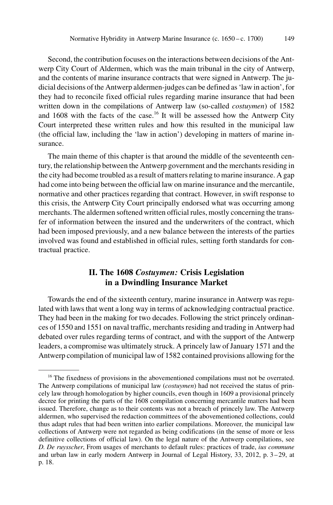Second, the contribution focuses on the interactions between decisions of the Antwerp City Court of Aldermen, which was the main tribunal in the city of Antwerp, and the contents of marine insurance contracts that were signed in Antwerp. The judicial decisions of the Antwerp aldermen-judges can be defined as 'law in action', for they had to reconcile fixed official rules regarding marine insurance that had been written down in the compilations of Antwerp law (so-called *costuymen*) of 1582 and  $1608$  with the facts of the case.<sup>16</sup> It will be assessed how the Antwerp City Court interpreted these written rules and how this resulted in the municipal law (the official law, including the 'law in action') developing in matters of marine insurance.

The main theme of this chapter is that around the middle of the seventeenth century, the relationship between the Antwerp government and the merchants residing in the city had become troubled as a result of matters relating to marine insurance. A gap had come into being between the official law on marine insurance and the mercantile, normative and other practices regarding that contract. However, in swift response to this crisis, the Antwerp City Court principally endorsed what was occurring among merchants. The aldermen softened written official rules, mostly concerning the transfer of information between the insured and the underwriters of the contract, which had been imposed previously, and a new balance between the interests of the parties involved was found and established in official rules, setting forth standards for contractual practice.

# II. The 1608 Costuymen: Crisis Legislation in a Dwindling Insurance Market

Towards the end of the sixteenth century, marine insurance in Antwerp was regulated with laws that went a long way in terms of acknowledging contractual practice. They had been in the making for two decades. Following the strict princely ordinances of 1550 and 1551 on naval traffic, merchants residing and trading in Antwerp had debated over rules regarding terms of contract, and with the support of the Antwerp leaders, a compromise was ultimately struck. A princely law of January 1571 and the Antwerp compilation of municipal law of 1582 contained provisions allowing for the

<sup>&</sup>lt;sup>16</sup> The fixedness of provisions in the abovementioned compilations must not be overrated. The Antwerp compilations of municipal law (*costuymen*) had not received the status of princely law through homologation by higher councils, even though in 1609 a provisional princely decree for printing the parts of the 1608 compilation concerning mercantile matters had been issued. Therefore, change as to their contents was not a breach of princely law. The Antwerp aldermen, who supervised the redaction committees of the abovementioned collections, could thus adapt rules that had been written into earlier compilations. Moreover, the municipal law collections of Antwerp were not regarded as being codifications (in the sense of more or less definitive collections of official law). On the legal nature of the Antwerp compilations, see D. De ruysscher, From usages of merchants to default rules: practices of trade, ius commune and urban law in early modern Antwerp in Journal of Legal History, 33, 2012, p. 3-29, at p. 18.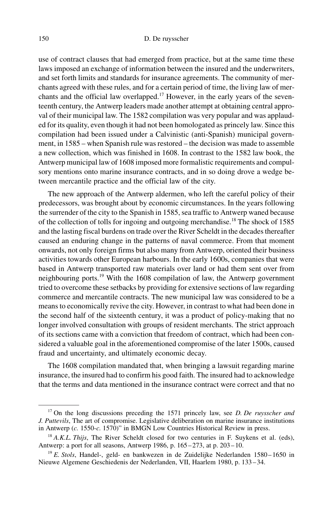use of contract clauses that had emerged from practice, but at the same time these laws imposed an exchange of information between the insured and the underwriters, and set forth limits and standards for insurance agreements. The community of merchants agreed with these rules, and for a certain period of time, the living law of merchants and the official law overlapped.<sup>17</sup> However, in the early years of the seventeenth century, the Antwerp leaders made another attempt at obtaining central approval of their municipal law. The 1582 compilation was very popular and was applauded for its quality, even though it had not been homologated as princely law. Since this compilation had been issued under a Calvinistic (anti-Spanish) municipal government, in 1585 – when Spanish rule was restored – the decision was made to assemble a new collection, which was finished in 1608. In contrast to the 1582 law book, the Antwerp municipal law of 1608 imposed more formalistic requirements and compulsory mentions onto marine insurance contracts, and in so doing drove a wedge between mercantile practice and the official law of the city.

The new approach of the Antwerp aldermen, who left the careful policy of their predecessors, was brought about by economic circumstances. In the years following the surrender of the city to the Spanish in 1585, sea traffic to Antwerp waned because of the collection of tolls for ingoing and outgoing merchandise.<sup>18</sup> The shock of 1585 and the lasting fiscal burdens on trade over the River Scheldt in the decades thereafter caused an enduring change in the patterns of naval commerce. From that moment onwards, not only foreign firms but also many from Antwerp, oriented their business activities towards other European harbours. In the early 1600s, companies that were based in Antwerp transported raw materials over land or had them sent over from neighbouring ports.<sup>19</sup> With the 1608 compilation of law, the Antwerp government tried to overcome these setbacks by providing for extensive sections of law regarding commerce and mercantile contracts. The new municipal law was considered to be a means to economically revive the city. However, in contrast to what had been done in the second half of the sixteenth century, it was a product of policy-making that no longer involved consultation with groups of resident merchants. The strict approach of its sections came with a conviction that freedom of contract, which had been considered a valuable goal in the aforementioned compromise of the later 1500s, caused fraud and uncertainty, and ultimately economic decay.

The 1608 compilation mandated that, when bringing a lawsuit regarding marine insurance, the insured had to confirm his good faith. The insured had to acknowledge that the terms and data mentioned in the insurance contract were correct and that no

 $17$  On the long discussions preceding the 1571 princely law, see D. De ruysscher and J. Puttevils, The art of compromise. Legislative deliberation on marine insurance institutions in Antwerp (c. 1550-c. 1570)" in BMGN Low Countries Historical Review in press.

 $18$  A.K.L. Thijs, The River Scheldt closed for two centuries in F. Suykens et al. (eds), Antwerp: a port for all seasons, Antwerp 1986, p. 165 – 273, at p. 203 – 10.

 $19$  E. Stols, Handel-, geld- en bankwezen in de Zuidelijke Nederlanden 1580-1650 in Nieuwe Algemene Geschiedenis der Nederlanden, VII, Haarlem 1980, p. 133 – 34.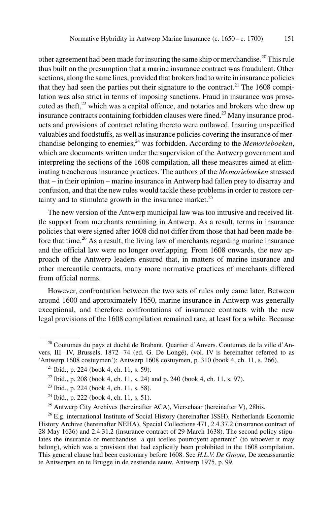other agreement had been made for insuring the same ship or merchandise.<sup>20</sup> This rule thus built on the presumption that a marine insurance contract was fraudulent. Other sections, along the same lines, provided that brokers had to write in insurance policies that they had seen the parties put their signature to the contract.<sup>21</sup> The  $1608$  compilation was also strict in terms of imposing sanctions. Fraud in insurance was prosecuted as theft, $2<sup>2</sup>$  which was a capital offence, and notaries and brokers who drew up insurance contracts containing forbidden clauses were fined.<sup>23</sup> Many insurance products and provisions of contract relating thereto were outlawed. Insuring unspecified valuables and foodstuffs, as well as insurance policies covering the insurance of merchandise belonging to enemies, $^{24}$  was forbidden. According to the *Memorieboeken*, which are documents written under the supervision of the Antwerp government and interpreting the sections of the 1608 compilation, all these measures aimed at eliminating treacherous insurance practices. The authors of the Memorieboeken stressed that – in their opinion – marine insurance in Antwerp had fallen prey to disarray and confusion, and that the new rules would tackle these problems in order to restore certainty and to stimulate growth in the insurance market. $25$ 

The new version of the Antwerp municipal law was too intrusive and received little support from merchants remaining in Antwerp. As a result, terms in insurance policies that were signed after 1608 did not differ from those that had been made before that time.<sup>26</sup> As a result, the living law of merchants regarding marine insurance and the official law were no longer overlapping. From 1608 onwards, the new approach of the Antwerp leaders ensured that, in matters of marine insurance and other mercantile contracts, many more normative practices of merchants differed from official norms.

However, confrontation between the two sets of rules only came later. Between around 1600 and approximately 1650, marine insurance in Antwerp was generally exceptional, and therefore confrontations of insurance contracts with the new legal provisions of the 1608 compilation remained rare, at least for a while. Because

 $20$  Coutumes du pays et duché de Brabant. Quartier d'Anvers. Coutumes de la ville d'Anvers, III – IV, Brussels, 1872 – 74 (ed. G. De Longé), (vol. IV is hereinafter referred to as 'Antwerp 1608 costuymen'): Antwerp 1608 costuymen, p. 310 (book 4, ch. 11, s. 266).

 $21$  Ibid., p. 224 (book 4, ch. 11, s. 59).

<sup>&</sup>lt;sup>22</sup> Ibid., p. 208 (book 4, ch. 11, s. 24) and p. 240 (book 4, ch. 11, s. 97).

 $23$  Ibid., p. 224 (book 4, ch. 11, s. 58).

<sup>24</sup> Ibid., p. 222 (book 4, ch. 11, s. 51).

 $25$  Antwerp City Archives (hereinafter ACA), Vierschaar (hereinafter V), 28bis.

<sup>&</sup>lt;sup>26</sup> E.g. international Institute of Social History (hereinafter ISSH), Netherlands Economic History Archive (hereinafter NEHA), Special Collections 471, 2.4.37.2 (insurance contract of 28 May 1636) and 2.4.31.2 (insurance contract of 29 March 1638). The second policy stipulates the insurance of merchandise 'a qui icelles pourroyent apertenir' (to whoever it may belong), which was a provision that had explicitly been prohibited in the 1608 compilation. This general clause had been customary before 1608. See H.L.V. De Groote, De zeeassurantie te Antwerpen en te Brugge in de zestiende eeuw, Antwerp 1975, p. 99.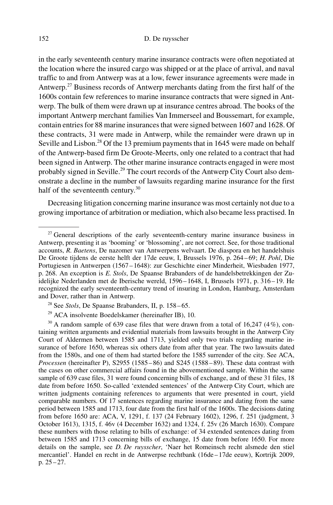in the early seventeenth century marine insurance contracts were often negotiated at the location where the insured cargo was shipped or at the place of arrival, and naval traffic to and from Antwerp was at a low, fewer insurance agreements were made in Antwerp.<sup>27</sup> Business records of Antwerp merchants dating from the first half of the 1600s contain few references to marine insurance contracts that were signed in Antwerp. The bulk of them were drawn up at insurance centres abroad. The books of the important Antwerp merchant families Van Immerseel and Boussemart, for example, contain entries for 88 marine insurances that were signed between 1607 and 1628. Of these contracts, 31 were made in Antwerp, while the remainder were drawn up in Seville and Lisbon.<sup>28</sup> Of the 13 premium payments that in 1645 were made on behalf of the Antwerp-based firm De Groote-Meerts, only one related to a contract that had been signed in Antwerp. The other marine insurance contracts engaged in were most probably signed in Seville.<sup>29</sup> The court records of the Antwerp City Court also demonstrate a decline in the number of lawsuits regarding marine insurance for the first half of the seventeenth century.<sup>30</sup>

Decreasing litigation concerning marine insurance was most certainly not due to a growing importance of arbitration or mediation, which also became less practised. In

<sup>&</sup>lt;sup>27</sup> General descriptions of the early seventeenth-century marine insurance business in Antwerp, presenting it as 'booming' or 'blossoming', are not correct. See, for those traditional accounts, R. Baetens, De nazomer van Antwerpens welvaart. De diaspora en het handelshuis De Groote tijdens de eerste helft der 17de eeuw, I, Brussels 1976, p. 264 – 69; H. Pohl, Die Portugiesen in Antwerpen (1567 – 1648): zur Geschichte einer Minderheit, Wiesbaden 1977, p. 268. An exception is E. Stols, De Spaanse Brabanders of de handelsbetrekkingen der Zuidelijke Nederlanden met de Iberische wereld, 1596 – 1648, I, Brussels 1971, p. 316 – 19. He recognized the early seventeenth-century trend of insuring in London, Hamburg, Amsterdam and Dover, rather than in Antwerp.

 $^{28}$  See Stols, De Spaanse Brabanders, II, p. 158–65.

<sup>29</sup> ACA insolvente Boedelskamer (hereinafter IB), 10.

<sup>&</sup>lt;sup>30</sup> A random sample of 639 case files that were drawn from a total of 16,247 (4%), containing written arguments and evidential materials from lawsuits brought in the Antwerp City Court of Aldermen between 1585 and 1713, yielded only two trials regarding marine insurance of before 1650, whereas six others date from after that year. The two lawsuits dated from the 1580s, and one of them had started before the 1585 surrender of the city. See ACA, Processen (hereinafter P), S2955 (1585-86) and S245 (1588-89). These data contrast with the cases on other commercial affairs found in the abovementioned sample. Within the same sample of 639 case files, 31 were found concerning bills of exchange, and of these 31 files, 18 date from before 1650. So-called 'extended sentences' of the Antwerp City Court, which are written judgments containing references to arguments that were presented in court, yield comparable numbers. Of 17 sentences regarding marine insurance and dating from the same period between 1585 and 1713, four date from the first half of the 1600s. The decisions dating from before 1650 are: ACA, V, 1291, f. 137 (24 February 1602), 1296, f. 251 (judgment, 3 October 1613), 1315, f. 46v (4 December 1632) and 1324, f. 25v (26 March 1630). Compare these numbers with those relating to bills of exchange: of 34 extended sentences dating from between 1585 and 1713 concerning bills of exchange, 15 date from before 1650. For more details on the sample, see D. De ruysscher, 'Naer het Romeinsch recht alsmede den stiel mercantiel'. Handel en recht in de Antwerpse rechtbank (16de – 17de eeuw), Kortrijk 2009, p.  $25 - 27$ .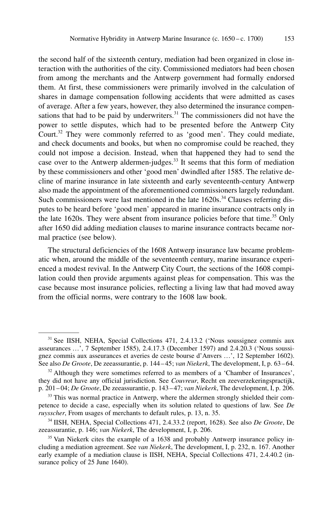the second half of the sixteenth century, mediation had been organized in close interaction with the authorities of the city. Commissioned mediators had been chosen from among the merchants and the Antwerp government had formally endorsed them. At first, these commissioners were primarily involved in the calculation of shares in damage compensation following accidents that were admitted as cases of average. After a few years, however, they also determined the insurance compensations that had to be paid by underwriters. $31$  The commissioners did not have the power to settle disputes, which had to be presented before the Antwerp City Court.<sup>32</sup> They were commonly referred to as 'good men'. They could mediate, and check documents and books, but when no compromise could be reached, they could not impose a decision. Instead, when that happened they had to send the case over to the Antwerp aldermen-judges.<sup>33</sup> It seems that this form of mediation by these commissioners and other 'good men' dwindled after 1585. The relative decline of marine insurance in late sixteenth and early seventeenth-century Antwerp also made the appointment of the aforementioned commissioners largely redundant. Such commissioners were last mentioned in the late 1620s.<sup>34</sup> Clauses referring disputes to be heard before 'good men' appeared in marine insurance contracts only in the late 1620s. They were absent from insurance policies before that time.<sup>35</sup> Only after 1650 did adding mediation clauses to marine insurance contracts became normal practice (see below).

The structural deficiencies of the 1608 Antwerp insurance law became problematic when, around the middle of the seventeenth century, marine insurance experienced a modest revival. In the Antwerp City Court, the sections of the 1608 compilation could then provide arguments against pleas for compensation. This was the case because most insurance policies, reflecting a living law that had moved away from the official norms, were contrary to the 1608 law book.

<sup>31</sup> See IISH, NEHA, Special Collections 471, 2.4.13.2 ('Nous soussignez commis aux asseurances …', 7 September 1585), 2.4.17.3 (December 1597) and 2.4.20.3 ('Nous soussignez commis aux asseurances et averies de ceste bourse d'Anvers …', 12 September 1602). See also De Groote, De zeeassurantie, p. 144-45; van Niekerk, The development, I, p. 63-64.

 $32$  Although they were sometimes referred to as members of a 'Chamber of Insurances', they did not have any official jurisdiction. See Couvreur, Recht en zeeverzekeringspractijk, p. 201 – 04; De Groote, De zeeassurantie, p. 143 – 47; van Niekerk, The development, I, p. 206.

<sup>&</sup>lt;sup>33</sup> This was normal practice in Antwerp, where the aldermen strongly shielded their competence to decide a case, especially when its solution related to questions of law. See  $De$ ruysscher, From usages of merchants to default rules, p. 13, n. 35.

<sup>&</sup>lt;sup>34</sup> IISH, NEHA, Special Collections 471, 2.4.33.2 (report, 1628). See also *De Groote*, De zeeassurantie, p. 146; van Niekerk, The development, I, p. 206.

<sup>&</sup>lt;sup>35</sup> Van Niekerk cites the example of a 1638 and probably Antwerp insurance policy including a mediation agreement. See van Niekerk, The development, I, p. 232, n. 167. Another early example of a mediation clause is IISH, NEHA, Special Collections 471, 2.4.40.2 (insurance policy of 25 June 1640).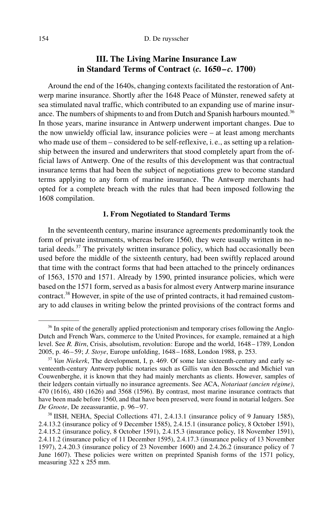## III. The Living Marine Insurance Law in Standard Terms of Contract  $(c. 1650 - c. 1700)$

Around the end of the 1640s, changing contexts facilitated the restoration of Antwerp marine insurance. Shortly after the 1648 Peace of Münster, renewed safety at sea stimulated naval traffic, which contributed to an expanding use of marine insurance. The numbers of shipments to and from Dutch and Spanish harbours mounted.<sup>36</sup> In those years, marine insurance in Antwerp underwent important changes. Due to the now unwieldy official law, insurance policies were – at least among merchants who made use of them – considered to be self-reflexive, i.e., as setting up a relationship between the insured and underwriters that stood completely apart from the official laws of Antwerp. One of the results of this development was that contractual insurance terms that had been the subject of negotiations grew to become standard terms applying to any form of marine insurance. The Antwerp merchants had opted for a complete breach with the rules that had been imposed following the 1608 compilation.

#### 1. From Negotiated to Standard Terms

In the seventeenth century, marine insurance agreements predominantly took the form of private instruments, whereas before 1560, they were usually written in notarial deeds. $37$  The privately written insurance policy, which had occasionally been used before the middle of the sixteenth century, had been swiftly replaced around that time with the contract forms that had been attached to the princely ordinances of 1563, 1570 and 1571. Already by 1590, printed insurance policies, which were based on the 1571 form, served as a basis for almost every Antwerp marine insurance contract.<sup>38</sup> However, in spite of the use of printed contracts, it had remained customary to add clauses in writing below the printed provisions of the contract forms and

 $36$  In spite of the generally applied protectionism and temporary crises following the Anglo-Dutch and French Wars, commerce to the United Provinces, for example, remained at a high level. See R. Birn, Crisis, absolutism, revolution: Europe and the world, 1648–1789, London 2005, p. 46 – 59; J. Stoye, Europe unfolding, 1648 – 1688, London 1988, p. 253.

 $37$  Van Niekerk, The development, I, p. 469. Of some late sixteenth-century and early seventeenth-century Antwerp public notaries such as Gillis van den Bossche and Michiel van Couwenberghe, it is known that they had mainly merchants as clients. However, samples of their ledgers contain virtually no insurance agreements. See ACA, Notariaat (ancien régime), 470 (1616), 480 (1626) and 3568 (1596). By contrast, most marine insurance contracts that have been made before 1560, and that have been preserved, were found in notarial ledgers. See De Groote, De zeeassurantie, p. 96 – 97.

<sup>38</sup> IISH, NEHA, Special Collections 471, 2.4.13.1 (insurance policy of 9 January 1585), 2.4.13.2 (insurance policy of 9 December 1585), 2.4.15.1 (insurance policy, 8 October 1591), 2.4.15.2 (insurance policy, 8 October 1591), 2.4.15.3 (insurance policy, 18 November 1591), 2.4.11.2 (insurance policy of 11 December 1595), 2.4.17.3 (insurance policy of 13 November 1597), 2.4.20.3 (insurance policy of 23 November 1600) and 2.4.26.2 (insurance policy of 7 June 1607). These policies were written on preprinted Spanish forms of the 1571 policy, measuring 322 x 255 mm.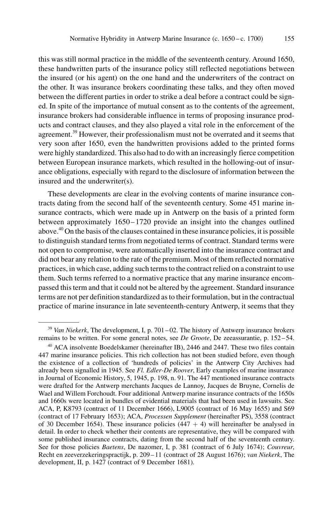this was still normal practice in the middle of the seventeenth century. Around 1650, these handwritten parts of the insurance policy still reflected negotiations between the insured (or his agent) on the one hand and the underwriters of the contract on the other. It was insurance brokers coordinating these talks, and they often moved between the different parties in order to strike a deal before a contract could be signed. In spite of the importance of mutual consent as to the contents of the agreement, insurance brokers had considerable influence in terms of proposing insurance products and contract clauses, and they also played a vital role in the enforcement of the agreement.<sup>39</sup> However, their professionalism must not be overrated and it seems that very soon after 1650, even the handwritten provisions added to the printed forms were highly standardized. This also had to do with an increasingly fierce competition between European insurance markets, which resulted in the hollowing-out of insurance obligations, especially with regard to the disclosure of information between the insured and the underwriter(s).

These developments are clear in the evolving contents of marine insurance contracts dating from the second half of the seventeenth century. Some 451 marine insurance contracts, which were made up in Antwerp on the basis of a printed form between approximately 1650–1720 provide an insight into the changes outlined above.40 On the basis of the clauses contained in these insurance policies, it is possible to distinguish standard terms from negotiated terms of contract. Standard terms were not open to compromise, were automatically inserted into the insurance contract and did not bear any relation to the rate of the premium. Most of them reflected normative practices, in which case, adding such terms to the contract relied on a constraint to use them. Such terms referred to a normative practice that any marine insurance encompassed this term and that it could not be altered by the agreement. Standard insurance terms are not per definition standardized as to their formulation, but in the contractual practice of marine insurance in late seventeenth-century Antwerp, it seems that they

<sup>&</sup>lt;sup>39</sup> Van Niekerk, The development, I, p. 701 – 02. The history of Antwerp insurance brokers remains to be written. For some general notes, see *De Groote*, De zeeassurantie, p. 152–54.

<sup>&</sup>lt;sup>40</sup> ACA insolvente Boedelskamer (hereinafter IB), 2446 and 2447. These two files contain 447 marine insurance policies. This rich collection has not been studied before, even though the existence of a collection of 'hundreds of policies' in the Antwerp City Archives had already been signalled in 1945. See Fl. Edler-De Roover, Early examples of marine insurance in Journal of Economic History, 5, 1945, p. 198, n. 91. The 447 mentioned insurance contracts were drafted for the Antwerp merchants Jacques de Lannoy, Jacques de Bruyne, Cornelis de Wael and Willem Forchoudt. Four additional Antwerp marine insurance contracts of the 1650s and 1660s were located in bundles of evidential materials that had been used in lawsuits. See ACA, P, K8793 (contract of 11 December 1666), L9005 (contract of 16 May 1655) and S69 (contract of 17 February 1653); ACA, Processen Supplement (hereinafter PS), 3558 (contract of 30 December 1654). These insurance policies  $(447 + 4)$  will hereinafter be analysed in detail. In order to check whether their contents are representative, they will be compared with some published insurance contracts, dating from the second half of the seventeenth century. See for those policies *Baetens*, De nazomer, I, p. 381 (contract of 6 July 1674); *Couvreur*, Recht en zeeverzekeringspractijk, p. 209 – 11 (contract of 28 August 1676); van Niekerk, The development, II, p. 1427 (contract of 9 December 1681).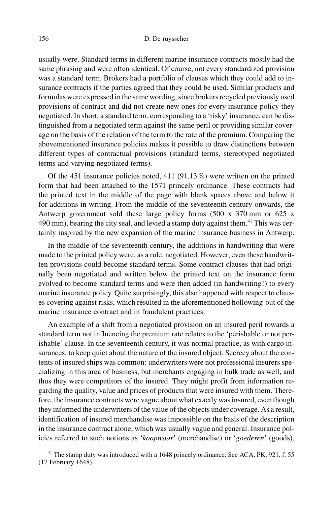usually were. Standard terms in different marine insurance contracts mostly had the same phrasing and were often identical. Of course, not every standardized provision was a standard term. Brokers had a portfolio of clauses which they could add to insurance contracts if the parties agreed that they could be used. Similar products and formulas were expressed in the same wording, since brokers recycled previously used provisions of contract and did not create new ones for every insurance policy they negotiated. In short, a standard term, corresponding to a 'risky' insurance, can be distinguished from a negotiated term against the same peril or providing similar coverage on the basis of the relation of the term to the rate of the premium. Comparing the abovementioned insurance policies makes it possible to draw distinctions between different types of contractual provisions (standard terms, stereotyped negotiated terms and varying negotiated terms).

Of the 451 insurance policies noted, 411 (91.13%) were written on the printed form that had been attached to the 1571 princely ordinance. These contracts had the printed text in the middle of the page with blank spaces above and below it for additions in writing. From the middle of the seventeenth century onwards, the Antwerp government sold these large policy forms (500 x 370 mm or 625 x 490 mm), bearing the city seal, and levied a stamp duty against them.<sup>41</sup> This was certainly inspired by the new expansion of the marine insurance business in Antwerp.

In the middle of the seventeenth century, the additions in handwriting that were made to the printed policy were, as a rule, negotiated. However, even these handwritten provisions could become standard terms. Some contract clauses that had originally been negotiated and written below the printed text on the insurance form evolved to become standard terms and were then added (in handwriting!) to every marine insurance policy. Quite surprisingly, this also happened with respect to clauses covering against risks, which resulted in the aforementioned hollowing-out of the marine insurance contract and in fraudulent practices.

An example of a shift from a negotiated provision on an insured peril towards a standard term not influencing the premium rate relates to the 'perishable or not perishable' clause. In the seventeenth century, it was normal practice, as with cargo insurances, to keep quiet about the nature of the insured object. Secrecy about the contents of insured ships was common: underwriters were not professional insurers specializing in this area of business, but merchants engaging in bulk trade as well, and thus they were competitors of the insured. They might profit from information regarding the quality, value and prices of products that were insured with them. Therefore, the insurance contracts were vague about what exactly was insured, even though they informed the underwriters of the value of the objects under coverage. As a result, identification of insured merchandise was impossible on the basis of the description in the insurance contract alone, which was usually vague and general. Insurance policies referred to such notions as 'koopwaar' (merchandise) or 'goederen' (goods),

<sup>&</sup>lt;sup>41</sup> The stamp duty was introduced with a 1648 princely ordinance. See ACA, PK, 921, f. 55 (17 February 1648).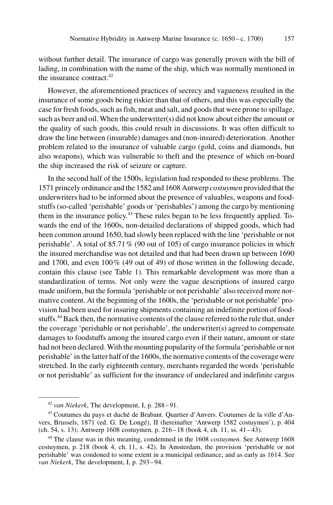without further detail. The insurance of cargo was generally proven with the bill of lading, in combination with the name of the ship, which was normally mentioned in the insurance contract.<sup>42</sup>

However, the aforementioned practices of secrecy and vagueness resulted in the insurance of some goods being riskier than that of others, and this was especially the case for fresh foods, such as fish, meat and salt, and goods that were prone to spillage, such as beer and oil. When the underwriter(s) did not know about either the amount or the quality of such goods, this could result in discussions. It was often difficult to draw the line between (insurable) damages and (non-insured) deterioration. Another problem related to the insurance of valuable cargo (gold, coins and diamonds, but also weapons), which was vulnerable to theft and the presence of which on-board the ship increased the risk of seizure or capture.

In the second half of the 1500s, legislation had responded to these problems. The 1571 princely ordinance and the 1582 and 1608 Antwerp costuymen provided that the underwriters had to be informed about the presence of valuables, weapons and foodstuffs (so-called 'perishable' goods or 'perishables') among the cargo by mentioning them in the insurance policy.<sup>43</sup> These rules began to be less frequently applied. Towards the end of the 1600s, non-detailed declarations of shipped goods, which had been common around 1650, had slowly been replaced with the line 'perishable or not perishable'. A total of 85.71% (90 out of 105) of cargo insurance policies in which the insured merchandise was not detailed and that had been drawn up between 1690 and 1700, and even 100% (49 out of 49) of those written in the following decade, contain this clause (see Table 1). This remarkable development was more than a standardization of terms. Not only were the vague descriptions of insured cargo made uniform, but the formula 'perishable or not perishable' also received more normative content. At the beginning of the 1600s, the 'perishable or not perishable' provision had been used for insuring shipments containing an indefinite portion of foodstuffs.<sup>44</sup> Back then, the normative contents of the clause referred to the rule that, under the coverage 'perishable or not perishable', the underwriter(s) agreed to compensate damages to foodstuffs among the insured cargo even if their nature, amount or state had not been declared. With the mounting popularity of the formula 'perishable or not perishable' in the latter half of the 1600s, the normative contents of the coverage were stretched. In the early eighteenth century, merchants regarded the words 'perishable or not perishable' as sufficient for the insurance of undeclared and indefinite cargos

 $42$  van Niekerk, The development, I, p. 288–91.

<sup>43</sup> Coutumes du pays et duché de Brabant. Quartier d'Anvers. Coutumes de la ville d'Anvers, Brussels, 1871 (ed. G. De Longé), II (hereinafter 'Antwerp 1582 costuymen'), p. 404 (ch. 54, s. 13); Antwerp 1608 costuymen, p. 216 – 18 (book 4, ch. 11, ss. 41 – 43).

<sup>&</sup>lt;sup>44</sup> The clause was in this meaning, condemned in the 1608 *costuymen*. See Antwerp 1608 costuymen, p. 218 (book 4, ch. 11, s. 42). In Amsterdam, the provision 'perishable or not perishable' was condoned to some extent in a municipal ordinance, and as early as 1614. See van Niekerk, The development, I, p. 293 – 94.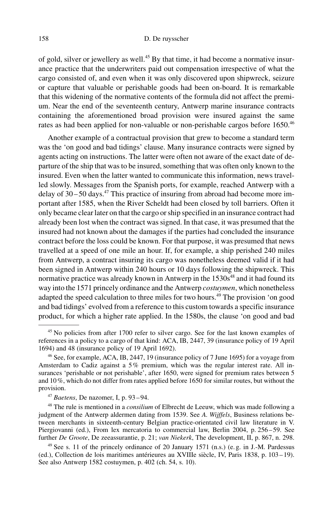#### 158 [D. De ruysscher](http://www.duncker-humblot.de)

of gold, silver or jewellery as well.<sup>45</sup> By that time, it had become a normative insurance practice that the underwriters paid out compensation irrespective of what the cargo consisted of, and even when it was only discovered upon shipwreck, seizure or capture that valuable or perishable goods had been on-board. It is remarkable that this widening of the normative contents of the formula did not affect the premium. Near the end of the seventeenth century, Antwerp marine insurance contracts containing the aforementioned broad provision were insured against the same rates as had been applied for non-valuable or non-perishable cargos before 1650.<sup>46</sup>

Another example of a contractual provision that grew to become a standard term was the 'on good and bad tidings' clause. Many insurance contracts were signed by agents acting on instructions. The latter were often not aware of the exact date of departure of the ship that was to be insured, something that was often only known to the insured. Even when the latter wanted to communicate this information, news travelled slowly. Messages from the Spanish ports, for example, reached Antwerp with a delay of  $30 - 50$  days.<sup>47</sup> This practice of insuring from abroad had become more important after 1585, when the River Scheldt had been closed by toll barriers. Often it only became clear later on that the cargo or ship specified in an insurance contract had already been lost when the contract was signed. In that case, it was presumed that the insured had not known about the damages if the parties had concluded the insurance contract before the loss could be known. For that purpose, it was presumed that news travelled at a speed of one mile an hour. If, for example, a ship perished 240 miles from Antwerp, a contract insuring its cargo was nonetheless deemed valid if it had been signed in Antwerp within 240 hours or 10 days following the shipwreck. This normative practice was already known in Antwerp in the 1530s<sup>48</sup> and it had found its way into the 1571 princely ordinance and the Antwerp *costuymen*, which nonetheless adapted the speed calculation to three miles for two hours.<sup>49</sup> The provision 'on good and bad tidings' evolved from a reference to this custom towards a specific insurance product, for which a higher rate applied. In the 1580s, the clause 'on good and bad

 $48$  The rule is mentioned in a *consilium* of Elbrecht de Leeuw, which was made following a judgment of the Antwerp aldermen dating from 1539. See A. Wijffels, Business relations between merchants in sixteenth-century Belgian practice-orientated civil law literature in V. Piergiovanni (ed.), From lex mercatoria to commercial law, Berlin 2004, p. 256–59. See further De Groote, De zeeassurantie, p. 21; van Niekerk, The development, II, p. 867, n. 298.

 $49$  See s. 11 of the princely ordinance of 20 January 1571 (n.s.) (e.g. in J.-M. Pardessus (ed.), Collection de lois maritimes antérieures au XVIIIe siècle, IV, Paris 1838, p. 103-19). See also Antwerp 1582 costuymen, p. 402 (ch. 54, s. 10).

<sup>&</sup>lt;sup>45</sup> No policies from after 1700 refer to silver cargo. See for the last known examples of references in a policy to a cargo of that kind: ACA, IB, 2447, 39 (insurance policy of 19 April 1694) and 48 (insurance policy of 19 April 1692).

<sup>46</sup> See, for example, ACA, IB, 2447, 19 (insurance policy of 7 June 1695) for a voyage from Amsterdam to Cadiz against a 5% premium, which was the regular interest rate. All insurances 'perishable or not perishable', after 1650, were signed for premium rates between 5 and 10%, which do not differ from rates applied before 1650 for similar routes, but without the provision.

 $47$  Baetens, De nazomer, I, p. 93-94.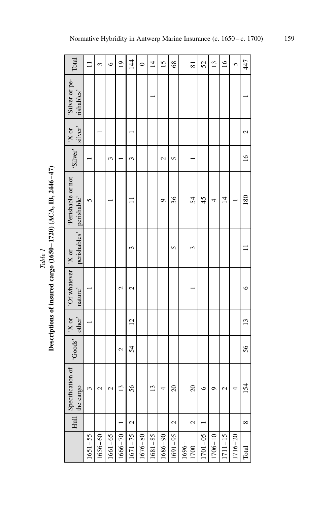| Total                              | $\Xi$       | 3             | $\circ$               | $\overline{19}$ | $\overline{14}$ | $\circ$     | $\overline{4}$ | 15            | 68                       |          | 81            | 52          | $\overline{13}$ | $\tilde{q}$    | $\mathbf{v}$ | 447            |
|------------------------------------|-------------|---------------|-----------------------|-----------------|-----------------|-------------|----------------|---------------|--------------------------|----------|---------------|-------------|-----------------|----------------|--------------|----------------|
| 'Silver or pe-<br>rishables'       |             |               |                       |                 |                 |             |                |               |                          |          |               |             |                 |                |              |                |
| $X$ or<br>silver'                  |             |               |                       |                 |                 |             |                |               |                          |          |               |             |                 |                |              | $\mathcal{L}$  |
| 'Silver'                           |             |               | $\tilde{\phantom{0}}$ |                 | $\epsilon$      |             |                | $\mathcal{L}$ | $\mathbf{r}$             |          |               |             |                 |                |              | $\frac{6}{2}$  |
| 'Perishable or not<br>perishable'  | 5           |               |                       |                 |                 |             |                | ᡋ             | 36                       |          | 54            | 45          | 4               | $\overline{4}$ |              | 180            |
| perishables'                       |             |               |                       |                 | 3               |             |                |               | 5                        |          | 3             |             |                 |                |              |                |
| 'Of whatever  'X or<br>nature'     |             |               |                       | 2               | 2               |             |                |               |                          |          |               |             |                 |                |              | $\circ$        |
| other'<br>$X$ or                   |             |               |                       |                 | $\overline{c}$  |             |                |               |                          |          |               |             |                 |                |              | $\frac{13}{2}$ |
| 'Goods'                            |             |               |                       | 2               | 54              |             |                |               |                          |          |               |             |                 |                |              | 56             |
| Hull Specification of<br>the cargo | 3           | $\mathcal{C}$ | $\mathcal{L}$         | $\overline{13}$ | 56              |             | 13             | 4             | $\overline{20}$          |          | 20            | $\circ$     | ᡋ               | $\mathcal{L}$  | 4            | 154            |
|                                    |             |               |                       |                 | 2               |             |                |               | $\overline{\mathcal{L}}$ |          | $\mathcal{L}$ |             |                 |                |              | $\infty$       |
|                                    | $1651 - 55$ | $1656 - 60$   | $1661 - 65$           | $1666 - 70$     | $1671 - 75$     | $1676 - 80$ | 1681-85        | 1686-90       | $1691 - 95$              | $1696 -$ | 1700          | $1701 - 05$ | $1706 - 10$     | $1711 - 15$    | 1716-20      | Total          |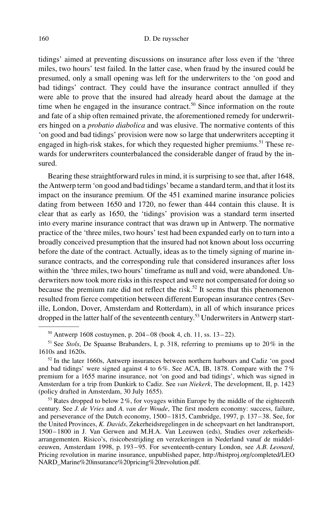tidings' aimed at preventing discussions on insurance after loss even if the 'three miles, two hours' test failed. In the latter case, when fraud by the insured could be presumed, only a small opening was left for the underwriters to the 'on good and bad tidings' contract. They could have the insurance contract annulled if they were able to prove that the insured had already heard about the damage at the time when he engaged in the insurance contract.<sup>50</sup> Since information on the route and fate of a ship often remained private, the aforementioned remedy for underwriters hinged on a *probatio diabolica* and was elusive. The normative contents of this 'on good and bad tidings' provision were now so large that underwriters accepting it engaged in high-risk stakes, for which they requested higher premiums.<sup>51</sup> These rewards for underwriters counterbalanced the considerable danger of fraud by the insured.

Bearing these straightforward rules in mind, it is surprising to see that, after 1648, the Antwerp term 'on good and bad tidings' became a standard term, and that it lost its impact on the insurance premium. Of the 451 examined marine insurance policies dating from between 1650 and 1720, no fewer than 444 contain this clause. It is clear that as early as 1650, the 'tidings' provision was a standard term inserted into every marine insurance contract that was drawn up in Antwerp. The normative practice of the 'three miles, two hours' test had been expanded early on to turn into a broadly conceived presumption that the insured had not known about loss occurring before the date of the contract. Actually, ideas as to the timely signing of marine insurance contracts, and the corresponding rule that considered insurances after loss within the 'three miles, two hours' timeframe as null and void, were abandoned. Underwriters now took more risks in this respect and were not compensated for doing so because the premium rate did not reflect the risk.<sup>52</sup> It seems that this phenomenon resulted from fierce competition between different European insurance centres (Seville, London, Dover, Amsterdam and Rotterdam), in all of which insurance prices dropped in the latter half of the seventeenth century.<sup>53</sup> Underwriters in Antwerp start-

 $50$  Antwerp 1608 costuymen, p. 204–08 (book 4, ch. 11, ss. 13–22).

 $51$  See Stols, De Spaanse Brabanders, I, p. 318, referring to premiums up to 20% in the 1610s and 1620s.

 $52$  In the later 1660s, Antwerp insurances between northern harbours and Cadiz 'on good and bad tidings' were signed against 4 to 6%. See ACA, IB, 1878. Compare with the 7% premium for a 1655 marine insurance, not 'on good and bad tidings', which was signed in Amsterdam for a trip from Dunkirk to Cadiz. See van Niekerk, The development, II, p. 1423 (policy drafted in Amsterdam, 30 July 1655).

 $53$  Rates dropped to below 2%, for voyages within Europe by the middle of the eighteenth century. See J. de Vries and A. van der Woude, The first modern economy: success, failure, and perseverance of the Dutch economy, 1500 – 1815, Cambridge, 1997, p. 137 – 38. See, for the United Provinces, K. Davids, Zekerheidsregelingen in de scheepvaart en het landtransport, 1500 – 1800 in J. Van Gerwen and M.H.A. Van Leeuwen (eds), Studies over zekerheidsarrangementen. Risico's, risicobestrijding en verzekeringen in Nederland vanaf de middeleeuwen, Amsterdam 1998, p. 193–95. For seventeenth-century London, see A.B. Leonard, Pricing revolution in marine insurance, unpublished paper, [http://histproj.org/completed/LEO](http://histproj.org/completed/LEONARD_Marine%20insurance%20pricing%20revolution.pdf.) [NARD\\_Marine%20insurance%20pricing%20revolution.pdf.](http://histproj.org/completed/LEONARD_Marine%20insurance%20pricing%20revolution.pdf.)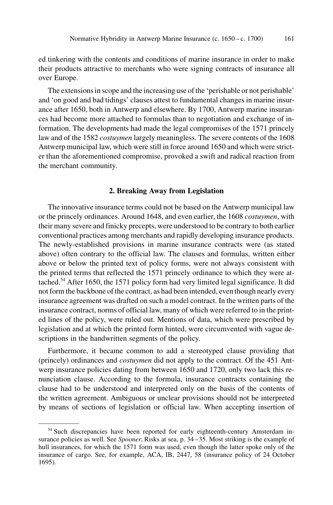ed tinkering with the contents and conditions of marine insurance in order to make their products attractive to merchants who were signing contracts of insurance all over Europe.

The extensions in scope and the increasing use of the 'perishable or not perishable' and 'on good and bad tidings' clauses attest to fundamental changes in marine insurance after 1650, both in Antwerp and elsewhere. By 1700, Antwerp marine insurances had become more attached to formulas than to negotiation and exchange of information. The developments had made the legal compromises of the 1571 princely law and of the 1582 *costuymen* largely meaningless. The severe contents of the 1608 Antwerp municipal law, which were still in force around 1650 and which were stricter than the aforementioned compromise, provoked a swift and radical reaction from the merchant community.

#### 2. Breaking Away from Legislation

The innovative insurance terms could not be based on the Antwerp municipal law or the princely ordinances. Around 1648, and even earlier, the 1608 costuymen, with their many severe and finicky precepts, were understood to be contrary to both earlier conventional practices among merchants and rapidly developing insurance products. The newly-established provisions in marine insurance contracts were (as stated above) often contrary to the official law. The clauses and formulas, written either above or below the printed text of policy forms, were not always consistent with the printed terms that reflected the 1571 princely ordinance to which they were attached.<sup>54</sup> After 1650, the 1571 policy form had very limited legal significance. It did not form the backbone of the contract, as had been intended, even though nearly every insurance agreement was drafted on such a model contract. In the written parts of the insurance contract, norms of official law, many of which were referred to in the printed lines of the policy, were ruled out. Mentions of data, which were prescribed by legislation and at which the printed form hinted, were circumvented with vague descriptions in the handwritten segments of the policy.

Furthermore, it became common to add a stereotyped clause providing that (princely) ordinances and costuymen did not apply to the contract. Of the 451 Antwerp insurance policies dating from between 1650 and 1720, only two lack this renunciation clause. According to the formula, insurance contracts containing the clause had to be understood and interpreted only on the basis of the contents of the written agreement. Ambiguous or unclear provisions should not be interpreted by means of sections of legislation or official law. When accepting insertion of

<sup>&</sup>lt;sup>54</sup> Such discrepancies have been reported for early eighteenth-century Amsterdam insurance policies as well. See Spooner, Risks at sea, p. 34-35. Most striking is the example of hull insurances, for which the 1571 form was used, even though the latter spoke only of the insurance of cargo. See, for example, ACA, IB, 2447, 58 (insurance policy of 24 October 1695).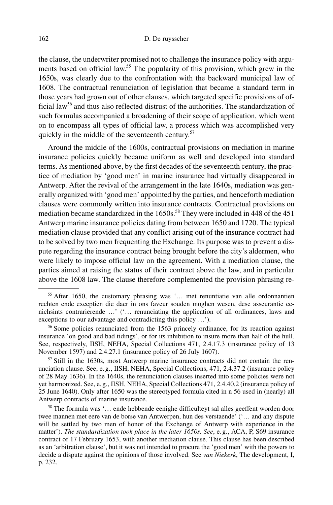the clause, the underwriter promised not to challenge the insurance policy with arguments based on official law.<sup>55</sup> The popularity of this provision, which grew in the 1650s, was clearly due to the confrontation with the backward municipal law of 1608. The contractual renunciation of legislation that became a standard term in those years had grown out of other clauses, which targeted specific provisions of official law<sup>56</sup> and thus also reflected distrust of the authorities. The standardization of such formulas accompanied a broadening of their scope of application, which went on to encompass all types of official law, a process which was accomplished very quickly in the middle of the seventeenth century.<sup>57</sup>

Around the middle of the 1600s, contractual provisions on mediation in marine insurance policies quickly became uniform as well and developed into standard terms. As mentioned above, by the first decades of the seventeenth century, the practice of mediation by 'good men' in marine insurance had virtually disappeared in Antwerp. After the revival of the arrangement in the late 1640s, mediation was generally organized with 'good men' appointed by the parties, and henceforth mediation clauses were commonly written into insurance contracts. Contractual provisions on mediation became standardized in the 1650s.<sup>58</sup> They were included in 448 of the 451 Antwerp marine insurance policies dating from between 1650 and 1720. The typical mediation clause provided that any conflict arising out of the insurance contract had to be solved by two men frequenting the Exchange. Its purpose was to prevent a dispute regarding the insurance contract being brought before the city's aldermen, who were likely to impose official law on the agreement. With a mediation clause, the parties aimed at raising the status of their contract above the law, and in particular above the 1608 law. The clause therefore complemented the provision phrasing re-

 $57$  Still in the 1630s, most Antwerp marine insurance contracts did not contain the renunciation clause. See, e. g., IISH, NEHA, Special Collections, 471, 2.4.37.2 (insurance policy of 28 May 1636). In the 1640s, the renunciation clauses inserted into some policies were not yet harmonized. See, e. g., IISH, NEHA, Special Collections 471, 2.4.40.2 (insurance policy of 25 June 1640). Only after 1650 was the stereotyped formula cited in n 56 used in (nearly) all Antwerp contracts of marine insurance.

<sup>58</sup> The formula was '… ende hebbende eenighe difficulteyt sal alles geeffent worden door twee mannen met eere van de borse van Antwerpen, hun des verstaende' ('… and any dispute will be settled by two men of honor of the Exchange of Antwerp with experience in the matter'). The standardization took place in the later 1650s. See, e.g., ACA, P, S69 insurance contract of 17 February 1653, with another mediation clause. This clause has been described as an 'arbitration clause', but it was not intended to procure the 'good men' with the powers to decide a dispute against the opinions of those involved. See van Niekerk, The development, I, p. 232.

<sup>55</sup> After 1650, the customary phrasing was '… met renuntiatie van alle ordonnantien rechten ende exceptien die daer in ons faveur souden moghen wesen, dese asseurantie eenichsints contrarierende …' ('… renunciating the application of all ordinances, laws and exceptions to our advantage and contradicting this policy …').

<sup>&</sup>lt;sup>56</sup> Some policies renunciated from the 1563 princely ordinance, for its reaction against insurance 'on good and bad tidings', or for its inhibition to insure more than half of the hull. See, respectively, IISH, NEHA, Special Collections 471, 2.4.17.3 (insurance policy of 13 November 1597) and 2.4.27.1 (insurance policy of 26 July 1607).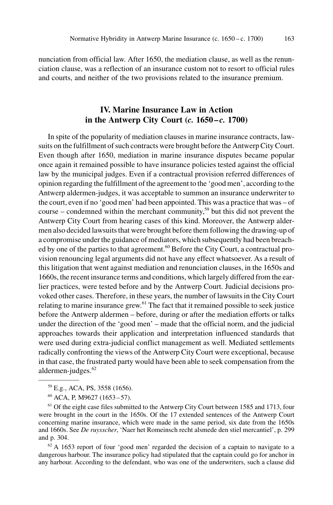nunciation from official law. After 1650, the mediation clause, as well as the renunciation clause, was a reflection of an insurance custom not to resort to official rules and courts, and neither of the two provisions related to the insurance premium.

## IV. Marine Insurance Law in Action in the Antwerp City Court  $(c. 1650 - c. 1700)$

In spite of the popularity of mediation clauses in marine insurance contracts, lawsuits on the fulfillment of such contracts were brought before the Antwerp City Court. Even though after 1650, mediation in marine insurance disputes became popular once again it remained possible to have insurance policies tested against the official law by the municipal judges. Even if a contractual provision referred differences of opinion regarding the fulfillment of the agreement to the 'good men', according to the Antwerp aldermen-judges, it was acceptable to summon an insurance underwriter to the court, even if no 'good men' had been appointed. This was a practice that was – of course – condemned within the merchant community,<sup>59</sup> but this did not prevent the Antwerp City Court from hearing cases of this kind. Moreover, the Antwerp aldermen also decided lawsuits that were brought before them following the drawing-up of a compromise under the guidance of mediators, which subsequently had been breached by one of the parties to that agreement.<sup>60</sup> Before the City Court, a contractual provision renouncing legal arguments did not have any effect whatsoever. As a result of this litigation that went against mediation and renunciation clauses, in the 1650s and 1660s, the recent insurance terms and conditions, which largely differed from the earlier practices, were tested before and by the Antwerp Court. Judicial decisions provoked other cases. Therefore, in these years, the number of lawsuits in the City Court relating to marine insurance grew.<sup>61</sup> The fact that it remained possible to seek justice before the Antwerp aldermen – before, during or after the mediation efforts or talks under the direction of the 'good men' – made that the official norm, and the judicial approaches towards their application and interpretation influenced standards that were used during extra-judicial conflict management as well. Mediated settlements radically confronting the views of the Antwerp City Court were exceptional, because in that case, the frustrated party would have been able to seek compensation from the aldermen-judges.<sup>62</sup>

 $62$  A 1653 report of four 'good men' regarded the decision of a captain to navigate to a dangerous harbour. The insurance policy had stipulated that the captain could go for anchor in any harbour. According to the defendant, who was one of the underwriters, such a clause did

<sup>59</sup> E.g., ACA, PS, 3558 (1656).

<sup>60</sup> ACA, P, M9627 (1653 – 57).

<sup>&</sup>lt;sup>61</sup> Of the eight case files submitted to the Antwerp City Court between 1585 and 1713, four were brought in the court in the 1650s. Of the 17 extended sentences of the Antwerp Court concerning marine insurance, which were made in the same period, six date from the 1650s and 1660s. See De ruysscher, 'Naer het Romeinsch recht alsmede den stiel mercantiel', p. 299 and p. 304.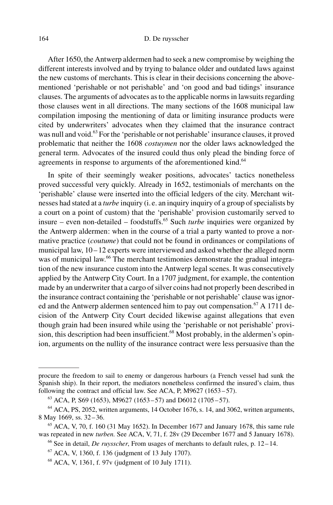After 1650, the Antwerp aldermen had to seek a new compromise by weighing the different interests involved and by trying to balance older and outdated laws against the new customs of merchants. This is clear in their decisions concerning the abovementioned 'perishable or not perishable' and 'on good and bad tidings' insurance clauses. The arguments of advocates as to the applicable norms in lawsuits regarding those clauses went in all directions. The many sections of the 1608 municipal law compilation imposing the mentioning of data or limiting insurance products were cited by underwriters' advocates when they claimed that the insurance contract was null and void.<sup>63</sup> For the 'perishable or not perishable' insurance clauses, it proved problematic that neither the 1608 costuymen nor the older laws acknowledged the general term. Advocates of the insured could thus only plead the binding force of agreements in response to arguments of the aforementioned kind.<sup>64</sup>

In spite of their seemingly weaker positions, advocates' tactics nonetheless proved successful very quickly. Already in 1652, testimonials of merchants on the 'perishable' clause were inserted into the official ledgers of the city. Merchant witnesses had stated at a *turbe* inquiry (i.e. an inquiry inquiry of a group of specialists by a court on a point of custom) that the 'perishable' provision customarily served to insure – even non-detailed – foodstuffs.<sup>65</sup> Such *turbe* inquiries were organized by the Antwerp aldermen: when in the course of a trial a party wanted to prove a normative practice (coutume) that could not be found in ordinances or compilations of municipal law,  $10 - 12$  experts were interviewed and asked whether the alleged norm was of municipal law.<sup>66</sup> The merchant testimonies demonstrate the gradual integration of the new insurance custom into the Antwerp legal scenes. It was consecutively applied by the Antwerp City Court. In a 1707 judgment, for example, the contention made by an underwriter that a cargo of silver coins had not properly been described in the insurance contract containing the 'perishable or not perishable' clause was ignored and the Antwerp aldermen sentenced him to pay out compensation.<sup>67</sup> A 1711 decision of the Antwerp City Court decided likewise against allegations that even though grain had been insured while using the 'perishable or not perishable' provision, this description had been insufficient.<sup>68</sup> Most probably, in the aldermen's opinion, arguments on the nullity of the insurance contract were less persuasive than the

procure the freedom to sail to enemy or dangerous harbours (a French vessel had sunk the Spanish ship). In their report, the mediators nonetheless confirmed the insured's claim, thus following the contract and official law. See ACA, P, M9627  $(1653-57)$ .

 $^{63}$  ACA, P, S69 (1653), M9627 (1653 – 57) and D6012 (1705 – 57).

 $64$  ACA, PS, 2052, written arguments, 14 October 1676, s. 14, and 3062, written arguments, 8 May 1669, ss. 32-36.

 $65$  ACA, V, 70, f. 160 (31 May 1652). In December 1677 and January 1678, this same rule was repeated in new turben. See ACA, V, 71, f. 28v (29 December 1677 and 5 January 1678).

<sup>&</sup>lt;sup>66</sup> See in detail, *De ruysscher*, From usages of merchants to default rules, p. 12–14.

<sup>67</sup> ACA, V, 1360, f. 136 (judgment of 13 July 1707).

<sup>68</sup> ACA, V, 1361, f. 97v (judgment of 10 July 1711).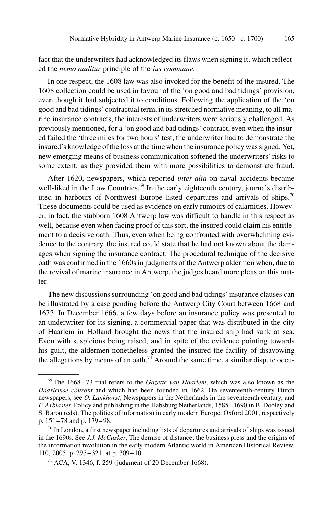fact that the underwriters had acknowledged its flaws when signing it, which reflected the nemo auditur principle of the ius commune.

In one respect, the 1608 law was also invoked for the benefit of the insured. The 1608 collection could be used in favour of the 'on good and bad tidings' provision, even though it had subjected it to conditions. Following the application of the 'on good and bad tidings' contractual term, in its stretched normative meaning, to all marine insurance contracts, the interests of underwriters were seriously challenged. As previously mentioned, for a 'on good and bad tidings' contract, even when the insured failed the 'three miles for two hours' test, the underwriter had to demonstrate the insured's knowledge of the loss at the time when the insurance policy was signed. Yet, new emerging means of business communication softened the underwriters' risks to some extent, as they provided them with more possibilities to demonstrate fraud.

After 1620, newspapers, which reported inter alia on naval accidents became well-liked in the Low Countries.<sup>69</sup> In the early eighteenth century, journals distributed in harbours of Northwest Europe listed departures and arrivals of ships.<sup>70</sup> These documents could be used as evidence on early rumours of calamities. However, in fact, the stubborn 1608 Antwerp law was difficult to handle in this respect as well, because even when facing proof of this sort, the insured could claim his entitlement to a decisive oath. Thus, even when being confronted with overwhelming evidence to the contrary, the insured could state that he had not known about the damages when signing the insurance contract. The procedural technique of the decisive oath was confirmed in the 1660s in judgments of the Antwerp aldermen when, due to the revival of marine insurance in Antwerp, the judges heard more pleas on this matter.

The new discussions surrounding 'on good and bad tidings' insurance clauses can be illustrated by a case pending before the Antwerp City Court between 1668 and 1673. In December 1666, a few days before an insurance policy was presented to an underwriter for its signing, a commercial paper that was distributed in the city of Haarlem in Holland brought the news that the insured ship had sunk at sea. Even with suspicions being raised, and in spite of the evidence pointing towards his guilt, the aldermen nonetheless granted the insured the facility of disavowing the allegations by means of an oath.<sup>71</sup> Around the same time, a similar dispute occu-

 $69$  The 1668-73 trial refers to the *Gazette van Haarlem*, which was also known as the Haarlemse courant and which had been founded in 1662. On seventeenth-century Dutch newspapers, see O. Lankhorst, Newspapers in the Netherlands in the seventeenth century, and P. Arblaster, Policy and publishing in the Habsburg Netherlands, 1585 – 1690 in B. Dooley and S. Baron (eds), The politics of information in early modern Europe, Oxford 2001, respectively p. 151 – 78 and p. 179 – 98.

 $70$  In London, a first newspaper including lists of departures and arrivals of ships was issued in the 1690s. See J.J. McCusker, The demise of distance: the business press and the origins of the information revolution in the early modern Atlantic world in American Historical Review, 110, 2005, p. 295 – 321, at p. 309 – 10.

 $71$  ACA, V, 1346, f. 259 (judgment of 20 December 1668).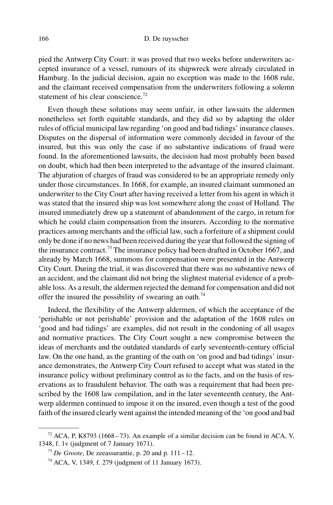pied the Antwerp City Court: it was proved that two weeks before underwriters accepted insurance of a vessel, rumours of its shipwreck were already circulated in Hamburg. In the judicial decision, again no exception was made to the 1608 rule, and the claimant received compensation from the underwriters following a solemn statement of his clear conscience.<sup>72</sup>

Even though these solutions may seem unfair, in other lawsuits the aldermen nonetheless set forth equitable standards, and they did so by adapting the older rules of official municipal law regarding 'on good and bad tidings' insurance clauses. Disputes on the dispersal of information were commonly decided in favour of the insured, but this was only the case if no substantive indications of fraud were found. In the aforementioned lawsuits, the decision had most probably been based on doubt, which had then been interpreted to the advantage of the insured claimant. The abjuration of charges of fraud was considered to be an appropriate remedy only under those circumstances. In 1668, for example, an insured claimant summoned an underwriter to the City Court after having received a letter from his agent in which it was stated that the insured ship was lost somewhere along the coast of Holland. The insured immediately drew up a statement of abandonment of the cargo, in return for which he could claim compensation from the insurers. According to the normative practices among merchants and the official law, such a forfeiture of a shipment could only be done if no news had been received during the year that followed the signing of the insurance contract.<sup>73</sup> The insurance policy had been drafted in October 1667, and already by March 1668, summons for compensation were presented in the Antwerp City Court. During the trial, it was discovered that there was no substantive news of an accident, and the claimant did not bring the slightest material evidence of a probable loss. As a result, the aldermen rejected the demand for compensation and did not offer the insured the possibility of swearing an oath.<sup>74</sup>

Indeed, the flexibility of the Antwerp aldermen, of which the acceptance of the 'perishable or not perishable' provision and the adaptation of the 1608 rules on 'good and bad tidings' are examples, did not result in the condoning of all usages and normative practices. The City Court sought a new compromise between the ideas of merchants and the outdated standards of early seventeenth-century official law. On the one hand, as the granting of the oath on 'on good and bad tidings' insurance demonstrates, the Antwerp City Court refused to accept what was stated in the insurance policy without preliminary control as to the facts, and on the basis of reservations as to fraudulent behavior. The oath was a requirement that had been prescribed by the 1608 law compilation, and in the later seventeenth century, the Antwerp aldermen continued to impose it on the insured, even though a test of the good faith of the insured clearly went against the intended meaning of the 'on good and bad

 $72$  ACA, P, K8793 (1668-73). An example of a similar decision can be found in ACA, V, 1348, f. 1v (judgment of 7 January 1671).

 $73$  De Groote, De zeeassurantie, p. 20 and p. 111 – 12.

<sup>74</sup> ACA, V, 1349, f. 279 (judgment of 11 January 1673).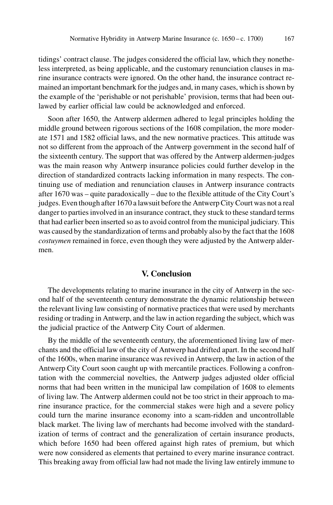tidings' contract clause. The judges considered the official law, which they nonetheless interpreted, as being applicable, and the customary renunciation clauses in marine insurance contracts were ignored. On the other hand, the insurance contract remained an important benchmark for the judges and, in many cases, which is shown by the example of the 'perishable or not perishable' provision, terms that had been outlawed by earlier official law could be acknowledged and enforced.

Soon after 1650, the Antwerp aldermen adhered to legal principles holding the middle ground between rigorous sections of the 1608 compilation, the more moderate 1571 and 1582 official laws, and the new normative practices. This attitude was not so different from the approach of the Antwerp government in the second half of the sixteenth century. The support that was offered by the Antwerp aldermen-judges was the main reason why Antwerp insurance policies could further develop in the direction of standardized contracts lacking information in many respects. The continuing use of mediation and renunciation clauses in Antwerp insurance contracts after 1670 was – quite paradoxically – due to the flexible attitude of the City Court's judges. Even though after 1670 a lawsuit before the Antwerp City Court was not a real danger to parties involved in an insurance contract, they stuck to these standard terms that had earlier been inserted so as to avoid control from the municipal judiciary. This was caused by the standardization of terms and probably also by the fact that the 1608 costuymen remained in force, even though they were adjusted by the Antwerp aldermen.

### V. Conclusion

The developments relating to marine insurance in the city of Antwerp in the second half of the seventeenth century demonstrate the dynamic relationship between the relevant living law consisting of normative practices that were used by merchants residing or trading in Antwerp, and the law in action regarding the subject, which was the judicial practice of the Antwerp City Court of aldermen.

By the middle of the seventeenth century, the aforementioned living law of merchants and the official law of the city of Antwerp had drifted apart. In the second half of the 1600s, when marine insurance was revived in Antwerp, the law in action of the Antwerp City Court soon caught up with mercantile practices. Following a confrontation with the commercial novelties, the Antwerp judges adjusted older official norms that had been written in the municipal law compilation of 1608 to elements of living law. The Antwerp aldermen could not be too strict in their approach to marine insurance practice, for the commercial stakes were high and a severe policy could turn the marine insurance economy into a scam-ridden and uncontrollable black market. The living law of merchants had become involved with the standardization of terms of contract and the generalization of certain insurance products, which before 1650 had been offered against high rates of premium, but which were now considered as elements that pertained to every marine insurance contract. This breaking away from official law had not made the living law entirely immune to